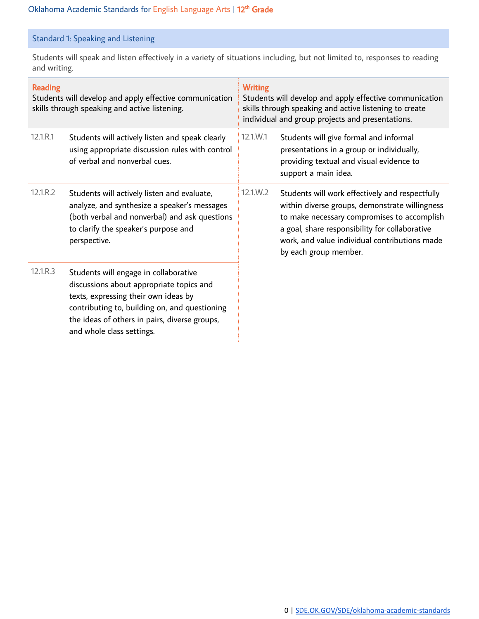## Standard 1: Speaking and Listening

Students will speak and listen effectively in a variety of situations including, but not limited to, responses to reading and writing.

| <b>Reading</b><br>Students will develop and apply effective communication<br>skills through speaking and active listening. |                                                                                                                                                                                                                                                          | <b>Writing</b><br>Students will develop and apply effective communication<br>skills through speaking and active listening to create<br>individual and group projects and presentations. |                                                                                                                                                                                                                                                                              |
|----------------------------------------------------------------------------------------------------------------------------|----------------------------------------------------------------------------------------------------------------------------------------------------------------------------------------------------------------------------------------------------------|-----------------------------------------------------------------------------------------------------------------------------------------------------------------------------------------|------------------------------------------------------------------------------------------------------------------------------------------------------------------------------------------------------------------------------------------------------------------------------|
| 12.1.R.1                                                                                                                   | Students will actively listen and speak clearly<br>using appropriate discussion rules with control<br>of verbal and nonverbal cues.                                                                                                                      | 12.1.W.1                                                                                                                                                                                | Students will give formal and informal<br>presentations in a group or individually,<br>providing textual and visual evidence to<br>support a main idea.                                                                                                                      |
| 12.1.R.2                                                                                                                   | Students will actively listen and evaluate,<br>analyze, and synthesize a speaker's messages<br>(both verbal and nonverbal) and ask questions<br>to clarify the speaker's purpose and<br>perspective.                                                     | $12.1 \times 2$                                                                                                                                                                         | Students will work effectively and respectfully<br>within diverse groups, demonstrate willingness<br>to make necessary compromises to accomplish<br>a goal, share responsibility for collaborative<br>work, and value individual contributions made<br>by each group member. |
| 12.1.R.3                                                                                                                   | Students will engage in collaborative<br>discussions about appropriate topics and<br>texts, expressing their own ideas by<br>contributing to, building on, and questioning<br>the ideas of others in pairs, diverse groups,<br>and whole class settings. |                                                                                                                                                                                         |                                                                                                                                                                                                                                                                              |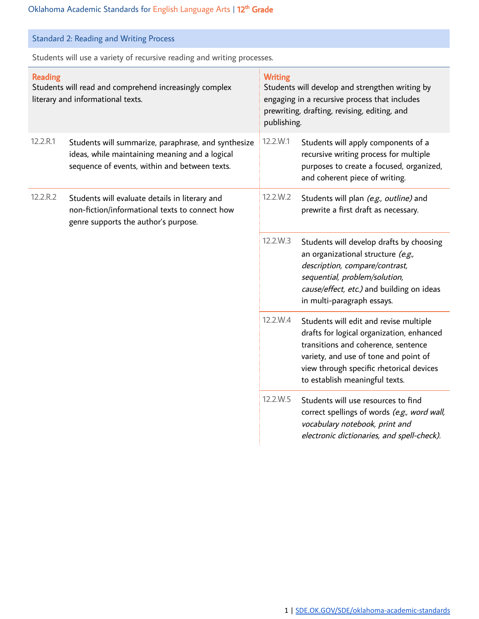|  | <b>Standard 2: Reading and Writing Process</b> |  |  |  |
|--|------------------------------------------------|--|--|--|
|--|------------------------------------------------|--|--|--|

Students will use a variety of recursive reading and writing processes.

| <b>Reading</b><br>Students will read and comprehend increasingly complex<br>literary and informational texts. |                                                                                                                                                        | <b>Writing</b><br>Students will develop and strengthen writing by<br>engaging in a recursive process that includes<br>prewriting, drafting, revising, editing, and<br>publishing. |                                                                                                                                                                                                                                                   |
|---------------------------------------------------------------------------------------------------------------|--------------------------------------------------------------------------------------------------------------------------------------------------------|-----------------------------------------------------------------------------------------------------------------------------------------------------------------------------------|---------------------------------------------------------------------------------------------------------------------------------------------------------------------------------------------------------------------------------------------------|
| 12.2.R.1                                                                                                      | Students will summarize, paraphrase, and synthesize<br>ideas, while maintaining meaning and a logical<br>sequence of events, within and between texts. | 12.2.W.1                                                                                                                                                                          | Students will apply components of a<br>recursive writing process for multiple<br>purposes to create a focused, organized,<br>and coherent piece of writing.                                                                                       |
| 12.2.R.2                                                                                                      | Students will evaluate details in literary and<br>non-fiction/informational texts to connect how<br>genre supports the author's purpose.               | 12.2.W.2                                                                                                                                                                          | Students will plan (e.g., outline) and<br>prewrite a first draft as necessary.                                                                                                                                                                    |
|                                                                                                               |                                                                                                                                                        | 12.2.W.3                                                                                                                                                                          | Students will develop drafts by choosing<br>an organizational structure (e.g.,<br>description, compare/contrast,<br>sequential, problem/solution,<br>cause/effect, etc.) and building on ideas<br>in multi-paragraph essays.                      |
|                                                                                                               |                                                                                                                                                        | 12.2.W.4                                                                                                                                                                          | Students will edit and revise multiple<br>drafts for logical organization, enhanced<br>transitions and coherence, sentence<br>variety, and use of tone and point of<br>view through specific rhetorical devices<br>to establish meaningful texts. |
|                                                                                                               |                                                                                                                                                        | 12.2.W.5                                                                                                                                                                          | Students will use resources to find<br>correct spellings of words (e.g., word wall,<br>vocabulary notebook, print and<br>electronic dictionaries, and spell-check).                                                                               |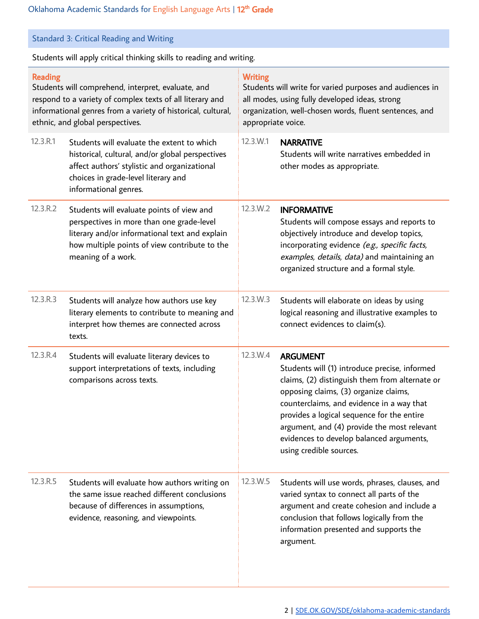| <b>Standard 3: Critical Reading and Writing</b>                                                                                                                                                                                       |                                                                                                                                                                                                                 |                                                                                                                                                                                                              |                                                                                                                                                                                                                                                                                                                                                                              |  |
|---------------------------------------------------------------------------------------------------------------------------------------------------------------------------------------------------------------------------------------|-----------------------------------------------------------------------------------------------------------------------------------------------------------------------------------------------------------------|--------------------------------------------------------------------------------------------------------------------------------------------------------------------------------------------------------------|------------------------------------------------------------------------------------------------------------------------------------------------------------------------------------------------------------------------------------------------------------------------------------------------------------------------------------------------------------------------------|--|
|                                                                                                                                                                                                                                       | Students will apply critical thinking skills to reading and writing.                                                                                                                                            |                                                                                                                                                                                                              |                                                                                                                                                                                                                                                                                                                                                                              |  |
| <b>Reading</b><br>Students will comprehend, interpret, evaluate, and<br>respond to a variety of complex texts of all literary and<br>informational genres from a variety of historical, cultural,<br>ethnic, and global perspectives. |                                                                                                                                                                                                                 | <b>Writing</b><br>Students will write for varied purposes and audiences in<br>all modes, using fully developed ideas, strong<br>organization, well-chosen words, fluent sentences, and<br>appropriate voice. |                                                                                                                                                                                                                                                                                                                                                                              |  |
| 12.3.R.1                                                                                                                                                                                                                              | Students will evaluate the extent to which<br>historical, cultural, and/or global perspectives<br>affect authors' stylistic and organizational<br>choices in grade-level literary and<br>informational genres.  | 12.3.W.1                                                                                                                                                                                                     | <b>NARRATIVE</b><br>Students will write narratives embedded in<br>other modes as appropriate.                                                                                                                                                                                                                                                                                |  |
| 12.3.R.2                                                                                                                                                                                                                              | Students will evaluate points of view and<br>perspectives in more than one grade-level<br>literary and/or informational text and explain<br>how multiple points of view contribute to the<br>meaning of a work. | 12.3.W.2                                                                                                                                                                                                     | <b>INFORMATIVE</b><br>Students will compose essays and reports to<br>objectively introduce and develop topics,<br>incorporating evidence (e.g., specific facts,<br>examples, details, data) and maintaining an<br>organized structure and a formal style.                                                                                                                    |  |
| 12.3.R.3                                                                                                                                                                                                                              | Students will analyze how authors use key<br>literary elements to contribute to meaning and<br>interpret how themes are connected across<br>texts.                                                              | 12.3.W.3                                                                                                                                                                                                     | Students will elaborate on ideas by using<br>logical reasoning and illustrative examples to<br>connect evidences to claim(s).                                                                                                                                                                                                                                                |  |
| 12.3.R.4                                                                                                                                                                                                                              | Students will evaluate literary devices to<br>support interpretations of texts, including<br>comparisons across texts.                                                                                          | 12.3.W.4                                                                                                                                                                                                     | <b>ARGUMENT</b><br>Students will (1) introduce precise, informed<br>claims, (2) distinguish them from alternate or<br>opposing claims, (3) organize claims,<br>counterclaims, and evidence in a way that<br>provides a logical sequence for the entire<br>argument, and (4) provide the most relevant<br>evidences to develop balanced arguments,<br>using credible sources. |  |
| 12.3.R.5                                                                                                                                                                                                                              | Students will evaluate how authors writing on<br>the same issue reached different conclusions<br>because of differences in assumptions,<br>evidence, reasoning, and viewpoints.                                 | 12.3.W.5                                                                                                                                                                                                     | Students will use words, phrases, clauses, and<br>varied syntax to connect all parts of the<br>argument and create cohesion and include a<br>conclusion that follows logically from the<br>information presented and supports the<br>argument.                                                                                                                               |  |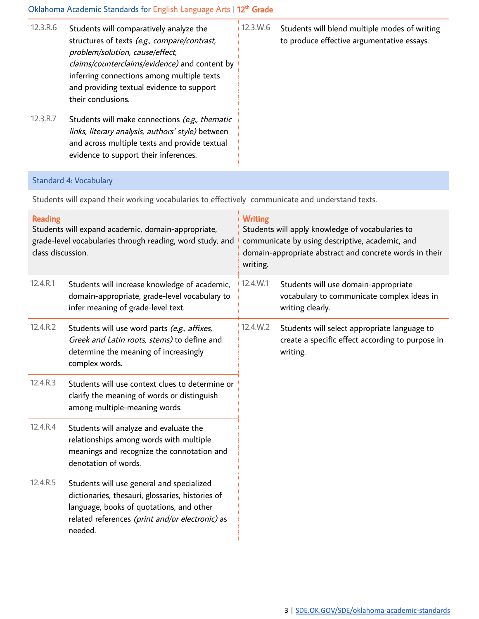#### Oklahoma Academic Standards for English Language Arts | 12<sup>th</sup> Grade

| 12.3.R.6 | Students will comparatively analyze the<br>structures of texts (e.g., compare/contrast,<br>problem/solution, cause/effect,<br>claims/counterclaims/evidence) and content by<br>inferring connections among multiple texts<br>and providing textual evidence to support<br>their conclusions. | $12.3 \times 6$ | Students will blend multiple modes of writing<br>to produce effective argumentative essays. |
|----------|----------------------------------------------------------------------------------------------------------------------------------------------------------------------------------------------------------------------------------------------------------------------------------------------|-----------------|---------------------------------------------------------------------------------------------|
| 12.3.R.7 | Students will make connections (e.g., thematic<br>links, literary analysis, authors' style) between<br>and across multiple texts and provide textual<br>evidence to support their inferences.                                                                                                |                 |                                                                                             |

### Standard 4: Vocabulary

Students will expand their working vocabularies to effectively communicate and understand texts.

| <b>Reading</b><br>Students will expand academic, domain-appropriate,<br>grade-level vocabularies through reading, word study, and<br>class discussion. |                                                                                                                                                                                                         | <b>Writing</b><br>Students will apply knowledge of vocabularies to<br>communicate by using descriptive, academic, and<br>domain-appropriate abstract and concrete words in their<br>writing. |                                                                                                              |
|--------------------------------------------------------------------------------------------------------------------------------------------------------|---------------------------------------------------------------------------------------------------------------------------------------------------------------------------------------------------------|----------------------------------------------------------------------------------------------------------------------------------------------------------------------------------------------|--------------------------------------------------------------------------------------------------------------|
| 12.4.R.1                                                                                                                                               | Students will increase knowledge of academic,<br>domain-appropriate, grade-level vocabulary to<br>infer meaning of grade-level text.                                                                    | 12.4.W.1                                                                                                                                                                                     | Students will use domain-appropriate<br>vocabulary to communicate complex ideas in<br>writing clearly.       |
| 12.4.R.2                                                                                                                                               | Students will use word parts (e.g., affixes,<br>Greek and Latin roots, stems) to define and<br>determine the meaning of increasingly<br>complex words.                                                  | 12.4.W.2                                                                                                                                                                                     | Students will select appropriate language to<br>create a specific effect according to purpose in<br>writing. |
| 12.4.R.3                                                                                                                                               | Students will use context clues to determine or<br>clarify the meaning of words or distinguish<br>among multiple-meaning words.                                                                         |                                                                                                                                                                                              |                                                                                                              |
| 12.4.R.4                                                                                                                                               | Students will analyze and evaluate the<br>relationships among words with multiple<br>meanings and recognize the connotation and<br>denotation of words.                                                 |                                                                                                                                                                                              |                                                                                                              |
| 12.4.R.5                                                                                                                                               | Students will use general and specialized<br>dictionaries, thesauri, glossaries, histories of<br>language, books of quotations, and other<br>related references (print and/or electronic) as<br>needed. |                                                                                                                                                                                              |                                                                                                              |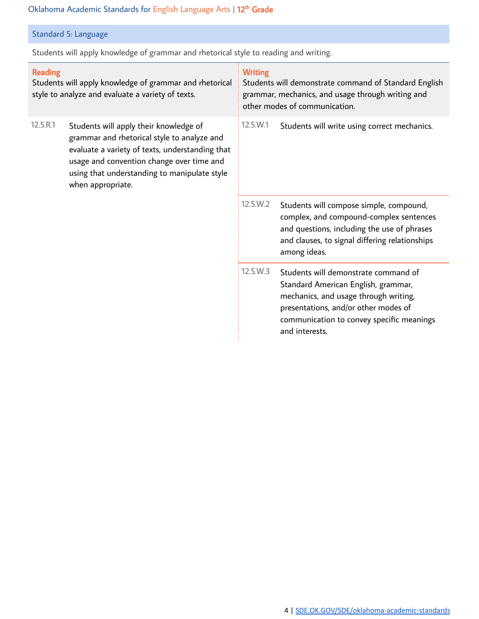#### Oklahoma Academic Standards for English Language Arts | 12<sup>th</sup> Grade

### Standard 5: Language

Students will apply knowledge of grammar and rhetorical style to reading and writing.

| <b>Reading</b><br>Students will apply knowledge of grammar and rhetorical<br>style to analyze and evaluate a variety of texts. |                                                                                                                                                                                                                                                            | <b>Writing</b><br>Students will demonstrate command of Standard English<br>grammar, mechanics, and usage through writing and<br>other modes of communication. |                                                                                                                                                                                                                             |
|--------------------------------------------------------------------------------------------------------------------------------|------------------------------------------------------------------------------------------------------------------------------------------------------------------------------------------------------------------------------------------------------------|---------------------------------------------------------------------------------------------------------------------------------------------------------------|-----------------------------------------------------------------------------------------------------------------------------------------------------------------------------------------------------------------------------|
| 12.5.R.1                                                                                                                       | Students will apply their knowledge of<br>grammar and rhetorical style to analyze and<br>evaluate a variety of texts, understanding that<br>usage and convention change over time and<br>using that understanding to manipulate style<br>when appropriate. | $12.5 \,\mathrm{W}$ .1                                                                                                                                        | Students will write using correct mechanics.                                                                                                                                                                                |
|                                                                                                                                |                                                                                                                                                                                                                                                            | 12.5.W.2                                                                                                                                                      | Students will compose simple, compound,<br>complex, and compound-complex sentences<br>and questions, including the use of phrases<br>and clauses, to signal differing relationships<br>among ideas.                         |
|                                                                                                                                |                                                                                                                                                                                                                                                            | 12.5.W.3                                                                                                                                                      | Students will demonstrate command of<br>Standard American English, grammar,<br>mechanics, and usage through writing,<br>presentations, and/or other modes of<br>communication to convey specific meanings<br>and interests. |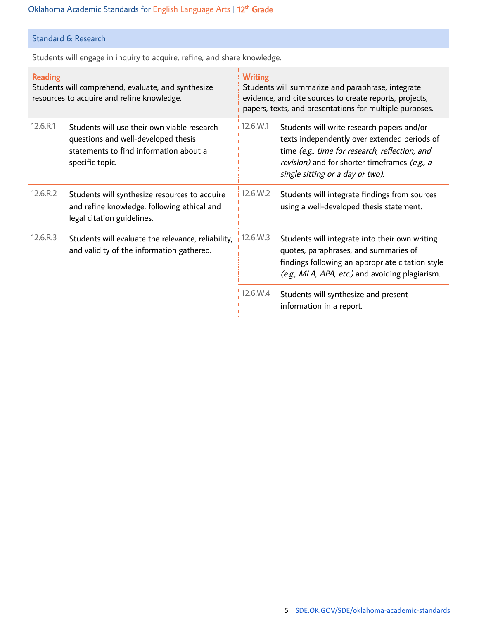# Standard 6: Research

Students will engage in inquiry to acquire, refine, and share knowledge.

| <b>Reading</b><br>Students will comprehend, evaluate, and synthesize<br>resources to acquire and refine knowledge. |                                                                                                                                                 | <b>Writing</b><br>Students will summarize and paraphrase, integrate<br>evidence, and cite sources to create reports, projects,<br>papers, texts, and presentations for multiple purposes. |                                                                                                                                                                                                                                   |  |
|--------------------------------------------------------------------------------------------------------------------|-------------------------------------------------------------------------------------------------------------------------------------------------|-------------------------------------------------------------------------------------------------------------------------------------------------------------------------------------------|-----------------------------------------------------------------------------------------------------------------------------------------------------------------------------------------------------------------------------------|--|
| 12.6.R.1                                                                                                           | Students will use their own viable research<br>questions and well-developed thesis<br>statements to find information about a<br>specific topic. | $12.6$ .W.1                                                                                                                                                                               | Students will write research papers and/or<br>texts independently over extended periods of<br>time (e.g., time for research, reflection, and<br>revision) and for shorter timeframes (e.g., a<br>single sitting or a day or two). |  |
| 12.6.R.2                                                                                                           | Students will synthesize resources to acquire<br>and refine knowledge, following ethical and<br>legal citation guidelines.                      | 12.6.W.2                                                                                                                                                                                  | Students will integrate findings from sources<br>using a well-developed thesis statement.                                                                                                                                         |  |
| 12.6.R.3                                                                                                           | Students will evaluate the relevance, reliability,<br>and validity of the information gathered.                                                 | 12.6.W.3                                                                                                                                                                                  | Students will integrate into their own writing<br>quotes, paraphrases, and summaries of<br>findings following an appropriate citation style<br>(e.g., MLA, APA, etc.) and avoiding plagiarism.                                    |  |
|                                                                                                                    |                                                                                                                                                 | 12.6.W.4                                                                                                                                                                                  | Students will synthesize and present<br>information in a report.                                                                                                                                                                  |  |